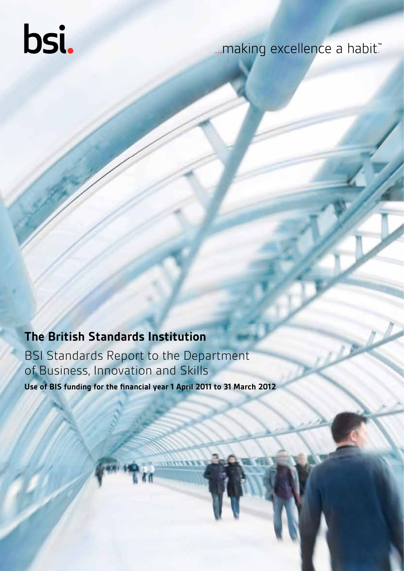# bsi.

# ...making excellence a habit."

# **The British Standards Institution**

BSI Standards Report to the Department of Business, Innovation and Skills **Use of BIS funding for the financial year 1 April 2011 to 31 March 2012**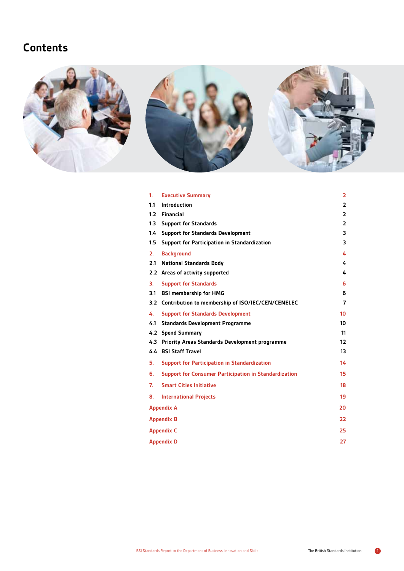# **Contents**



| 1.             | <b>Executive Summary</b>                                     | $\overline{2}$    |  |
|----------------|--------------------------------------------------------------|-------------------|--|
| 1.1            | <b>Introduction</b>                                          | $\overline{2}$    |  |
| 1.2            | <b>Financial</b>                                             | 2                 |  |
| 1.3            | <b>Support for Standards</b>                                 | $\overline{2}$    |  |
| $1.4^{\circ}$  | <b>Support for Standards Development</b>                     | 3                 |  |
| 1.5            | <b>Support for Participation in Standardization</b>          | 3                 |  |
| 2 <sub>1</sub> | <b>Background</b>                                            | 4                 |  |
| 2.1            | <b>National Standards Body</b>                               | 4                 |  |
|                | 2.2 Areas of activity supported                              | 4                 |  |
| 3.             | <b>Support for Standards</b>                                 | 6                 |  |
| 3.1            | <b>BSI membership for HMG</b>                                | 6                 |  |
| 3.2            | Contribution to membership of ISO/IEC/CEN/CENELEC            | $\overline{7}$    |  |
| 4.             | <b>Support for Standards Development</b>                     | 10 <sup>1</sup>   |  |
| 4.1            | <b>Standards Development Programme</b>                       | 10                |  |
| 4.2            | <b>Spend Summary</b>                                         | 11                |  |
| 4.3            | Priority Areas Standards Development programme               | $12 \overline{ }$ |  |
|                | 4.4 BSI Staff Travel                                         | 13                |  |
| 5.             | <b>Support for Participation in Standardization</b>          | 14                |  |
| 6.             | <b>Support for Consumer Participation in Standardization</b> | 15                |  |
| 7.             | <b>Smart Cities Initiative</b>                               | 18                |  |
| 8.             | <b>International Projects</b>                                | 19                |  |
|                | <b>Appendix A</b>                                            | 20                |  |
|                | <b>Appendix B</b>                                            | 22                |  |
|                | 25<br><b>Appendix C</b>                                      |                   |  |
|                | <b>Appendix D</b>                                            | 27                |  |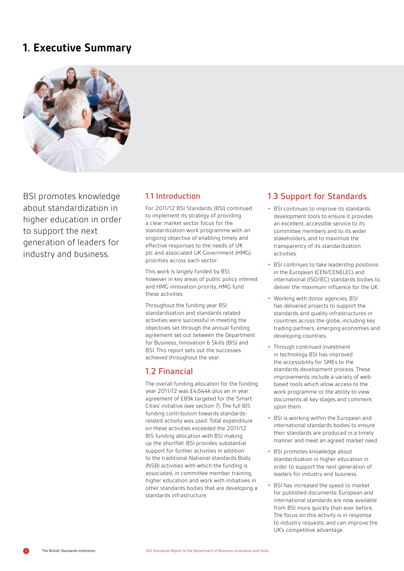# **1. Executive Summary**



BSI promotes knowledge about standardization in higher education in order to support the next generation of leaders for industry and business.

## 1.1 Introduction

For 2011/12 BSI Standards (BSI) continued to implement its strategy of providing a clear market sector focus for the standardization work programme with an ongoing objective of enabling timely and effective responses to the needs of UK plc and associated UK Government (HMG) priorities across each sector.

This work is largely funded by BSI, however in key areas of public policy interest and HMG innovation priority, HMG fund these activities.

Throughout the funding year BSI standardization and standards related activities were successful in meeting the objectives set through the annual funding agreement set out between the Department for Business, Innovation & Skills (BIS) and BSI. This report sets out the successes achieved throughout the year.

## 1.2 Financial

The overall funding allocation for the funding year 2011/12 was £4,644k plus an in year agreement of £89k targeted for the 'Smart Cities' initiative (see section 7). The full BIS funding contribution towards standardsrelated activity was used. Total expenditure on these activities exceeded the 2011/12 BIS funding allocation with BSI making up the shortfall. BSI provides substantial support for further activities in addition to the traditional National standards Body (NSB) activities with which the funding is associated, in committee member training, higher education and work with initiatives in other standards bodies that are developing a standards infrastructure.

# 1.3 Support for Standards

- **•** BSI continues to improve its standards development tools to ensure it provides an excellent, accessible service to its committee members and to its wider stakeholders, and to maximize the transparency of its standardization activities.
- **•** BSI continues to take leadership positions in the European (CEN/CENELEC) and international (ISO/IEC) standards bodies to deliver the maximum influence for the UK.
- **•** Working with donor agencies, BSI has delivered projects to support the standards and quality infrastructures in countries across the globe, including key trading partners, emerging economies and developing countries.
- **•** Through continued investment in technology BSI has improved the accessibility for SMEs to the standards development process. These improvements include a variety of webbased tools which allow access to the work programme or the ability to view documents at key stages and comment upon them.
- **•** BSI is working within the European and international standards bodies to ensure their standards are produced in a timely manner and meet an agreed market need.
- **•** BSI promotes knowledge about standardization in higher education in order to support the next generation of leaders for industry and business.
- **•** BSI has increased the speed to market for published documents; European and international standards are now available from BSI more quickly than ever before. The focus on this activity is in response to industry requests, and can improve the UK's competitive advantage.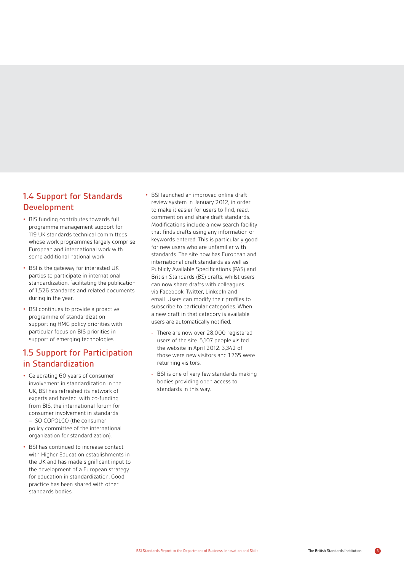# 1.4 Support for Standards Development

- **•** BIS funding contributes towards full programme management support for 119 UK standards technical committees whose work programmes largely comprise European and international work with some additional national work.
- **•** BSI is the gateway for interested UK parties to participate in international standardization, facilitating the publication of 1,526 standards and related documents during in the year.
- **•** BSI continues to provide a proactive programme of standardization supporting HMG policy priorities with particular focus on BIS priorities in support of emerging technologies.

# 1.5 Support for Participation in Standardization

- **•** Celebrating 60 years of consumer involvement in standardization in the UK, BSI has refreshed its network of experts and hosted, with co-funding from BIS, the international forum for consumer involvement in standards – ISO COPOLCO (the consumer policy committee of the international organization for standardization).
- **•** BSI has continued to increase contact with Higher Education establishments in the UK and has made significant input to the development of a European strategy for education in standardization. Good practice has been shared with other standards bodies.
- **•** BSI launched an improved online draft review system in January 2012, in order to make it easier for users to find, read, comment on and share draft standards. Modifications include a new search facility that finds drafts using any information or keywords entered. This is particularly good for new users who are unfamiliar with standards. The site now has European and international draft standards as well as Publicly Available Specifications (PAS) and British Standards (BS) drafts, whilst users can now share drafts with colleagues via Facebook, Twitter, LinkedIn and email. Users can modify their profiles to subscribe to particular categories. When a new draft in that category is available, users are automatically notified.
	- **-** There are now over 28,000 registered users of the site. 5,107 people visited the website in April 2012. 3,342 of those were new visitors and 1,765 were returning visitors.
	- **-** BSI is one of very few standards making bodies providing open access to standards in this way.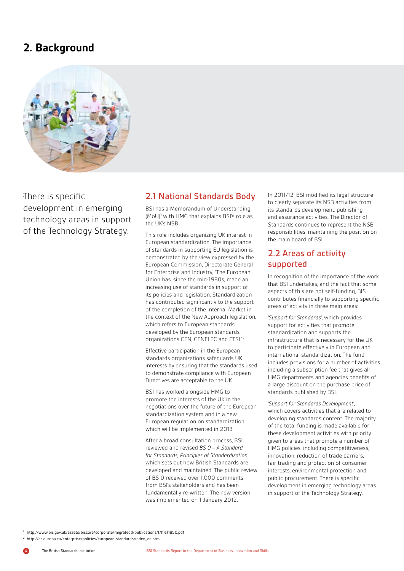# **2. Background**



There is specific development in emerging technology areas in support of the Technology Strategy.

## . 2.1 National Standards Body

BSI has a Memorandum of Understanding (MoU)<sup>1</sup> with HMG that explains BSI's role as the UK's NSB.

This role includes organizing UK interest in European standardization. The importance of standards in supporting EU legislation is demonstrated by the view expressed by the European Commission, Directorate General for Enterprise and Industry, "The European Union has, since the mid-1980s, made an increasing use of standards in support of its policies and legislation. Standardization has contributed significantly to the support of the completion of the Internal Market in the context of the New Approach legislation, which refers to European standards developed by the European standards organizations CEN, CENELEC and ETSI."<sup>2</sup>

Effective participation in the European standards organizations safeguards UK interests by ensuring that the standards used to demonstrate compliance with European Directives are acceptable to the UK.

BSI has worked alongside HMG to promote the interests of the UK in the negotiations over the future of the European standardization system and in a new European regulation on standardization which will be implemented in 2013.

After a broad consultation process, BSI reviewed and revised *BS 0 – A Standard for Standards, Principles of Standardization*, which sets out how British Standards are developed and maintained. The public review of BS 0 received over 1,000 comments from BSI's stakeholders and has been fundamentally re-written. The new version was implemented on 1 January 2012.

In 2011/12, BSI modified its legal structure to clearly separate its NSB activities from its standards development, publishing and assurance activities. The Director of Standards continues to represent the NSB responsibilities, maintaining the position on the main board of BSI.

# 2.2 Areas of activity supported

In recognition of the importance of the work that BSI undertakes, and the fact that some aspects of this are not self-funding, BIS contributes financially to supporting specific areas of activity in three main areas:

*'Support for Standards'*, which provides support for activities that promote standardization and supports the infrastructure that is necessary for the UK to participate effectively in European and international standardization. The fund includes provisions for a number of activities including a subscription fee that gives all HMG departments and agencies benefits of a large discount on the purchase price of standards published by BSI.

*'Support for Standards Development'*, which covers activities that are related to developing standards content. The majority of the total funding is made available for these development activities with priority given to areas that promote a number of HMG policies, including competitiveness, innovation, reduction of trade barriers, fair trading and protection of consumer interests, environmental protection and public procurement. There is specific development in emerging technology areas in support of the Technology Strategy.

<sup>1</sup> http://www.bis.gov.uk/assets/biscore/corporate/migratedd/publications/f/file11950.pdf

<sup>2</sup> http://ec.europa.eu/enterprise/policies/european-standards/index\_en.htm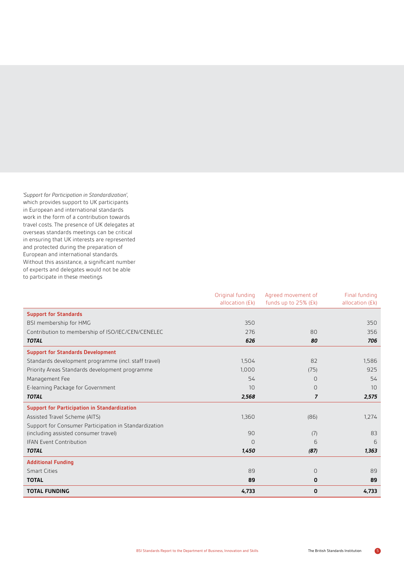*'Support for Participation in Standardization'*, which provides support to UK participants in European and international standards work in the form of a contribution towards travel costs. The presence of UK delegates at overseas standards meetings can be critical in ensuring that UK interests are represented and protected during the preparation of European and international standards. Without this assistance, a significant number of experts and delegates would not be able to participate in these meetings

|                                                       | Original funding | Agreed movement of   | Final funding   |
|-------------------------------------------------------|------------------|----------------------|-----------------|
|                                                       | allocation (£k)  | funds up to 25% (£k) | allocation (£k) |
| <b>Support for Standards</b>                          |                  |                      |                 |
| BSI membership for HMG                                | 350              |                      | 350             |
| Contribution to membership of ISO/IEC/CEN/CENELEC     | 276              | 80                   | 356             |
| <b>TOTAL</b>                                          | 626              | 80                   | 706             |
| <b>Support for Standards Development</b>              |                  |                      |                 |
| Standards development programme (incl. staff travel)  | 1,504            | 82                   | 1,586           |
| Priority Areas Standards development programme        | 1,000            | (75)                 | 925             |
| Management Fee                                        | 54               | $\overline{0}$       | 54              |
| E-learning Package for Government                     | 10               | $\Omega$             | 10              |
| <b>TOTAL</b>                                          | 2,568            | $\overline{7}$       | 2,575           |
| <b>Support for Participation in Standardization</b>   |                  |                      |                 |
| Assisted Travel Scheme (AITS)                         | 1,360            | (86)                 | 1,274           |
| Support for Consumer Participation in Standardization |                  |                      |                 |
| (including assisted consumer travel)                  | 90               | (7)                  | 83              |
| <b>IFAN Event Contribution</b>                        | $\Omega$         | 6                    | 6               |
| <b>TOTAL</b>                                          | 1,450            | (87)                 | 1,363           |
| <b>Additional Funding</b>                             |                  |                      |                 |
| <b>Smart Cities</b>                                   | 89               | 0                    | 89              |
| <b>TOTAL</b>                                          | 89               | 0                    | 89              |
| <b>TOTAL FUNDING</b>                                  | 4,733            | 0                    | 4,733           |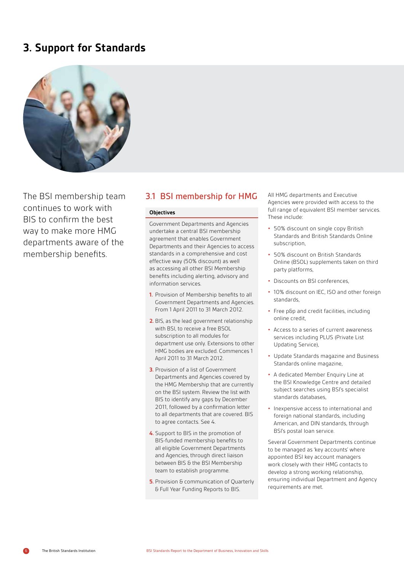# **3. Support for Standards**



The BSI membership team continues to work with BIS to confirm the best way to make more HMG departments aware of the membership benefits.

## 3.1 BSI membership for HMG

#### **Objectives**

Government Departments and Agencies undertake a central BSI membership agreement that enables Government Departments and their Agencies to access standards in a comprehensive and cost effective way (50% discount) as well as accessing all other BSI Membership benefits including alerting, advisory and information services.

- **1.** Provision of Membership benefits to all Government Departments and Agencies. From 1 April 2011 to 31 March 2012.
- **2.** BIS, as the lead government relationship with BSI, to receive a free BSOL subscription to all modules for department use only. Extensions to other HMG bodies are excluded. Commences 1 April 2011 to 31 March 2012.
- **3.** Provision of a list of Government Departments and Agencies covered by the HMG Membership that are currently on the BSI system. Review the list with BIS to identify any gaps by December 2011, followed by a confirmation letter to all departments that are covered. BIS to agree contacts. See 4.
- **4.** Support to BIS in the promotion of BIS-funded membership benefits to all eligible Government Departments and Agencies, through direct liaison between BIS & the BSI Membership team to establish programme.
- **5.** Provision & communication of Quarterly & Full Year Funding Reports to BIS.

All HMG departments and Executive Agencies were provided with access to the full range of equivalent BSI member services. These include:

- **•** 50% discount on single copy British Standards and British Standards Online subscription,
- **•** 50% discount on British Standards Online (BSOL) supplements taken on third party platforms,
- **•** Discounts on BSI conferences,
- **•** 10% discount on IEC, ISO and other foreign standards,
- **•** Free p&p and credit facilities, including online credit,
- **•** Access to a series of current awareness services including PLUS (Private List Updating Service),
- **•** Update Standards magazine and Business Standards online magazine,
- **•** A dedicated Member Enquiry Line at the BSI Knowledge Centre and detailed subject searches using BSI's specialist standards databases,
- **•** Inexpensive access to international and foreign national standards, including American, and DIN standards, through BSI's postal loan service.

Several Government Departments continue to be managed as 'key accounts' where appointed BSI key account managers work closely with their HMG contacts to develop a strong working relationship, ensuring individual Department and Agency requirements are met.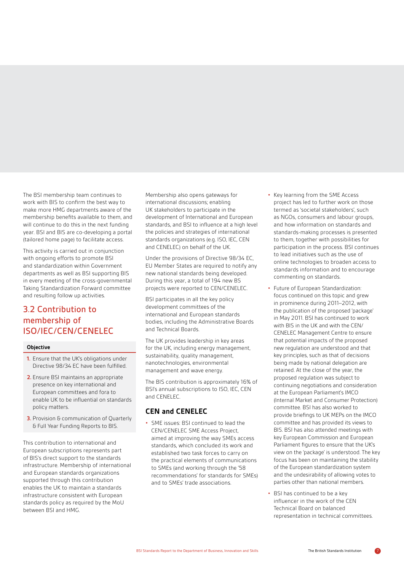The BSI membership team continues to work with BIS to confirm the best way to make more HMG departments aware of the membership benefits available to them, and will continue to do this in the next funding year. BSI and BIS are co-developing a portal (tailored home page) to facilitate access.

This activity is carried out in conjunction with ongoing efforts to promote BSI and standardization within Government departments as well as BSI supporting BIS in every meeting of the cross-governmental Taking Standardization Forward committee and resulting follow up activities.

# 3.2 Contribution to membership of ISO/IEC/CEN/CENELEC

#### **Objective**

- **1.** Ensure that the UK's obligations under Directive 98/34 EC have been fulfilled.
- **2.** Ensure BSI maintains an appropriate presence on key international and European committees and fora to enable UK to be influential on standards policy matters.
- **3.** Provision & communication of Quarterly & Full Year Funding Reports to BIS.

This contribution to international and European subscriptions represents part of BIS's direct support to the standards infrastructure. Membership of international and European standards organizations supported through this contribution enables the UK to maintain a standards infrastructure consistent with European standards policy as required by the MoU between BSI and HMG.

Membership also opens gateways for international discussions; enabling UK stakeholders to participate in the development of International and European standards, and BSI to influence at a high level the policies and strategies of international standards organizations (e.g. ISO, IEC, CEN and CENELEC) on behalf of the UK.

Under the provisions of Directive 98/34 EC, EU Member States are required to notify any new national standards being developed. During this year, a total of 194 new BS projects were reported to CEN/CENELEC.

BSI participates in all the key policy development committees of the international and European standards bodies, including the Administrative Boards and Technical Boards.

The UK provides leadership in key areas for the UK, including energy management, sustainability, quality management, nanotechnologies, environmental management and wave energy.

The BIS contribution is approximately 16% of BSI's annual subscriptions to ISO, IEC, CEN and CENELEC.

## **CEN and CENELEC**

**•** SME issues: BSI continued to lead the CEN/CENELEC SME Access Project, aimed at improving the way SMEs access standards, which concluded its work and established two task forces to carry on the practical elements of communications to SMEs (and working through the '58 recommendations' for standards for SMEs) and to SMEs' trade associations.

- **•** Key learning from the SME Access project has led to further work on those termed as 'societal stakeholders', such as NGOs, consumers and labour groups, and how information on standards and standards-making processes is presented to them, together with possibilities for participation in the process. BSI continues to lead initiatives such as the use of online technologies to broaden access to standards information and to encourage commenting on standards.
- **•** Future of European Standardization: focus continued on this topic and grew in prominence during 2011–2012, with the publication of the proposed 'package' in May 2011. BSI has continued to work with BIS in the UK and with the CEN/ CENELEC Management Centre to ensure that potential impacts of the proposed new regulation are understood and that key principles, such as that of decisions being made by national delegation are retained. At the close of the year, the proposed regulation was subject to continuing negotiations and consideration at the European Parliament's IMCO (Internal Market and Consumer Protection) committee. BSI has also worked to provide briefings to UK MEPs on the IMCO committee and has provided its views to BIS. BSI has also attended meetings with key European Commission and European Parliament figures to ensure that the UK's view on the 'package' is understood. The key focus has been on maintaining the stability of the European standardization system and the undesirability of allowing votes to parties other than national members.
- **•** BSI has continued to be a key influencer in the work of the CEN Technical Board on balanced representation in technical committees.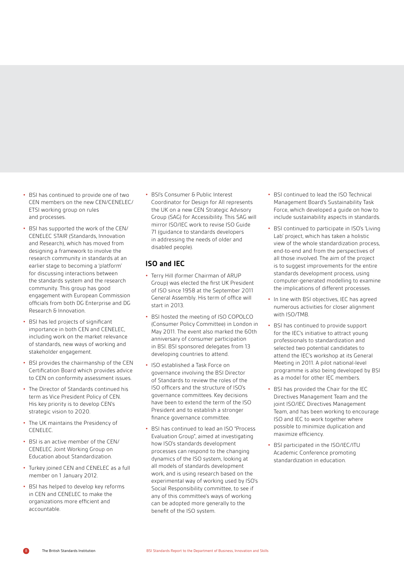- **•** BSI has continued to provide one of two CEN members on the new CEN/CENELEC/ ETSI working group on rules and processes.
- **•** BSI has supported the work of the CEN/ CENELEC STAIR (Standards, Innovation and Research), which has moved from designing a framework to involve the research community in standards at an earlier stage to becoming a 'platform' for discussing interactions between the standards system and the research community. This group has good engagement with European Commission officials from both DG Enterprise and DG Research & Innovation.
- **•** BSI has led projects of significant importance in both CEN and CENELEC, including work on the market relevance of standards, new ways of working and stakeholder engagement.
- **•** BSI provides the chairmanship of the CEN Certification Board which provides advice to CEN on conformity assessment issues.
- **•** The Director of Standards continued his term as Vice President Policy of CEN. His key priority is to develop CEN's strategic vision to 2020.
- **•** The UK maintains the Presidency of CENELEC.
- **•** BSI is an active member of the CEN/ CENELEC Joint Working Group on Education about Standardization.
- **•** Turkey joined CEN and CENELEC as a full member on 1 January 2012.
- **•** BSI has helped to develop key reforms in CEN and CENELEC to make the organizations more efficient and accountable.

**•** BSI's Consumer & Public Interest Coordinator for Design for All represents the UK on a new CEN Strategic Advisory Group (SAG) for Accessibility. This SAG will mirror ISO/IEC work to revise ISO Guide 71 (guidance to standards developers in addressing the needs of older and disabled people).

## **ISO and IEC**

- **•** Terry Hill (former Chairman of ARUP Group) was elected the first UK President of ISO since 1958 at the September 2011 General Assembly. His term of office will start in 2013.
- **•** BSI hosted the meeting of ISO COPOLCO (Consumer Policy Committee) in London in May 2011. The event also marked the 60th anniversary of consumer participation in BSI. BSI sponsored delegates from 13 developing countries to attend.
- **•** ISO established a Task Force on governance involving the BSI Director of Standards to review the roles of the ISO officers and the structure of ISO's governance committees. Key decisions have been to extend the term of the ISO President and to establish a stronger finance governance committee.
- **•** BSI has continued to lead an ISO "Process Evaluation Group", aimed at investigating how ISO's standards development processes can respond to the changing dynamics of the ISO system, looking at all models of standards development work, and is using research based on the experimental way of working used by ISO's Social Responsibility committee, to see if any of this committee's ways of working can be adopted more generally to the benefit of the ISO system.
- **•** BSI continued to lead the ISO Technical Management Board's Sustainability Task Force, which developed a guide on how to include sustainability aspects in standards.
- **•** BSI continued to participate in ISO's 'Living Lab' project, which has taken a holistic view of the whole standardization process, end-to-end and from the perspectives of all those involved. The aim of the project is to suggest improvements for the entire standards development process, using computer-generated modelling to examine the implications of different processes.
- **•** In line with BSI objectives, IEC has agreed numerous activities for closer alignment with ISO/TMB.
- **•** BSI has continued to provide support for the IEC's initiative to attract young professionals to standardization and selected two potential candidates to attend the IEC's workshop at its General Meeting in 2011. A pilot national-level programme is also being developed by BSI as a model for other IEC members.
- **•** BSI has provided the Chair for the IEC Directives Management Team and the joint ISO/IEC Directives Management Team, and has been working to encourage ISO and IEC to work together where possible to minimize duplication and maximize efficiency.
- **•** BSI participated in the ISO/IEC/ITU Academic Conference promoting standardization in education.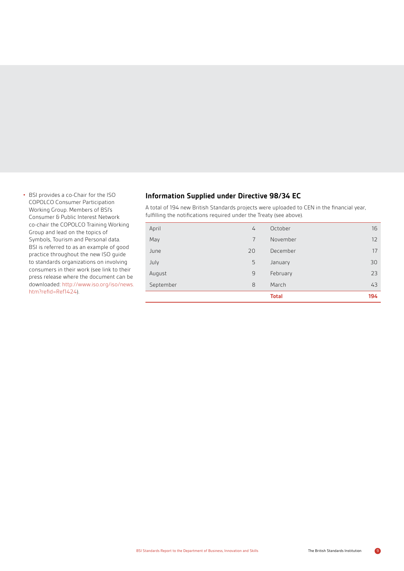**•** BSI provides a co-Chair for the ISO COPOLCO Consumer Participation Working Group. Members of BSI's Consumer & Public Interest Network co-chair the COPOLCO Training Working Group and lead on the topics of Symbols, Tourism and Personal data. BSI is referred to as an example of good practice throughout the new ISO guide to standards organizations on involving consumers in their work (see link to their press release where the document can be [downloaded: http://www.iso.org/iso/news.](http://www.iso.org/iso/news.htm?refid=Ref1424) htm?refid=Ref1424).

## **Information Supplied under Directive 98/34 EC**

A total of 194 new British Standards projects were uploaded to CEN in the financial year, fulfilling the notifications required under the Treaty (see above).

|           |                | <b>Total</b> | 194 |
|-----------|----------------|--------------|-----|
| September | 8              | March        | 43  |
| August    | 9              | February     | 23  |
| July      | 5              | January      | 30  |
| June      | 20             | December     | 17  |
| May       | 7              | November     | 12  |
| April     | $\overline{4}$ | October      | 16  |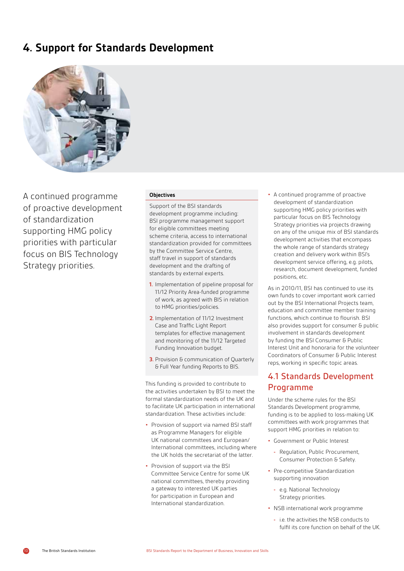# **4. Support for Standards Development**



A continued programme of proactive development of standardization supporting HMG policy priorities with particular focus on BIS Technology Strategy priorities.

#### **Objectives**

Support of the BSI standards development programme including: BSI programme management support for eligible committees meeting scheme criteria, access to international standardization provided for committees by the Committee Service Centre, staff travel in support of standards development and the drafting of standards by external experts.

- **1.** Implementation of pipeline proposal for 11/12 Priority Area-funded programme of work, as agreed with BIS in relation to HMG priorities/policies.
- **2.** Implementation of 11/12 Investment Case and Traffic Light Report templates for effective management and monitoring of the 11/12 Targeted Funding Innovation budget.
- **3.** Provision & communication of Quarterly & Full Year funding Reports to BIS.

This funding is provided to contribute to the activities undertaken by BSI to meet the formal standardization needs of the UK and to facilitate UK participation in international standardization. These activities include:

- **•** Provision of support via named BSI staff as Programme Managers for eligible UK national committees and European/ International committees, including where the UK holds the secretariat of the latter.
- **•** Provision of support via the BSI Committee Service Centre for some UK national committees, thereby providing a gateway to interested UK parties for participation in European and International standardization.

**•** A continued programme of proactive development of standardization supporting HMG policy priorities with particular focus on BIS Technology Strategy priorities via projects drawing on any of the unique mix of BSI standards development activities that encompass the whole range of standards strategy creation and delivery work within BSI's development service offering, e.g. pilots, research, document development, funded positions, etc.

As in 2010/11, BSI has continued to use its own funds to cover important work carried out by the BSI International Projects team, education and committee member training functions, which continue to flourish. BSI also provides support for consumer & public involvement in standards development by funding the BSI Consumer & Public Interest Unit and honoraria for the volunteer Coordinators of Consumer & Public Interest reps, working in specific topic areas.

## 4.1 Standards Development Programme

Under the scheme rules for the BSI Standards Development programme, funding is to be applied to loss-making UK committees with work programmes that support HMG priorities in relation to:

- **•** Government or Public Interest
	- **-** Regulation, Public Procurement, Consumer Protection & Safety.
- **•** Pre-competitive Standardization supporting innovation
	- **-** e.g. National Technology Strategy priorities.
- **•** NSB international work programme
	- **-** i.e. the activities the NSB conducts to fulfil its core function on behalf of the UK.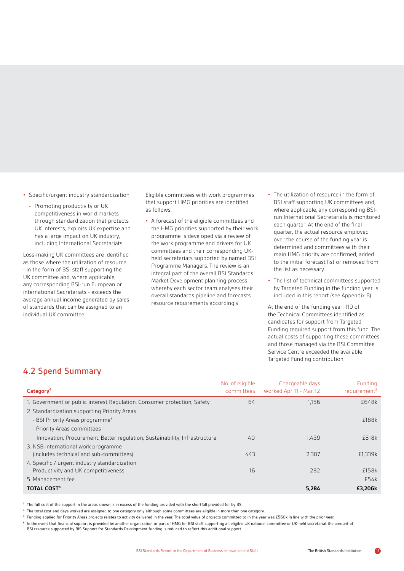- **•** Specific/urgent industry standardization
	- **-** Promoting productivity or UK competitiveness in world markets through standardization that protects UK interests, exploits UK expertise and has a large impact on UK industry, including International Secretariats.

Loss-making UK committees are identified as those where the utilization of resource - in the form of BSI staff supporting the UK committee and, where applicable, any corresponding BSI-run European or international Secretariats - exceeds the average annual income generated by sales of standards that can be assigned to an individual UK committee .

Eligible committees with work programmes that support HMG priorities are identified as follows:

- **•** A forecast of the eligible committees and the HMG priorities supported by their work programme is developed via a review of the work programme and drivers for UK committees and their corresponding UKheld secretariats supported by named BSI Programme Managers. The review is an integral part of the overall BSI Standards Market Development planning process whereby each sector team analyses their overall standards pipeline and forecasts resource requirements accordingly.
- **•** The utilization of resource in the form of BSI staff supporting UK committees and, where applicable, any corresponding BSIrun International Secretariats is monitored each quarter. At the end of the final quarter, the actual resource employed over the course of the funding year is determined and committees with their main HMG priority are confirmed, added to the initial forecast list or removed from the list as necessary.
- **•** The list of technical committees supported by Targeted Funding in the funding year is included in this report (see Appendix B).

At the end of the funding year, 119 of the Technical Committees identified as candidates for support from Targeted Funding required support from this fund. The actual costs of supporting these committees and those managed via the BSI Committee Service Centre exceeded the available Targeted Funding contribution.

# 4.2 Spend Summary

| Category <sup>4</sup>                                                          | No. of eligible<br>committees | Chargeable days<br>worked Apr 11 - Mar 12 | Funding<br>requirement <sup>3</sup> |
|--------------------------------------------------------------------------------|-------------------------------|-------------------------------------------|-------------------------------------|
| 1. Government or public interest Regulation, Consumer protection, Safety       | 64                            | 1.156                                     | £648k                               |
| 2. Standardization supporting Priority Areas                                   |                               |                                           |                                     |
| - BSI Priority Areas programme <sup>5</sup>                                    |                               |                                           | £188k                               |
| - Priority Areas committees                                                    |                               |                                           |                                     |
| Innovation, Procurement, Better regulation, Sustainability, Infrastructure     | 40                            | 1.459                                     | £818k                               |
| 3. NSB international work programme<br>(includes technical and sub-committees) | 443                           | 2,387                                     | £1,339k                             |
| 4. Specific / urgent industry standardization                                  |                               |                                           |                                     |
| Productivity and UK competitiveness                                            | 16                            | 282                                       | £158k                               |
| 5. Management fee                                                              |                               |                                           | £54k                                |
| <b>TOTAL COST<sup>6</sup></b>                                                  |                               | 5,284                                     | £3.206k                             |

<sup>3</sup> The full cost of the support in the areas shown is in excess of the funding provided with the shortfall provided for by BSI.

<sup>4</sup> The total cost and days worked are assigned to one category only although some committees are eligible in more than one category.

<sup>5</sup> Funding applied for Priority Areas projects relates to activity delivered in the year. The total value of projects committed to in the year was £560k in line with the prior year.

6 In the event that financial support is provided by another organization or part of HMG for BSI staff supporting an eligible UK national committee or UK-held secretariat the amount of BSI resource supported by BIS Support for Standards Development funding is reduced to reflect this additional support.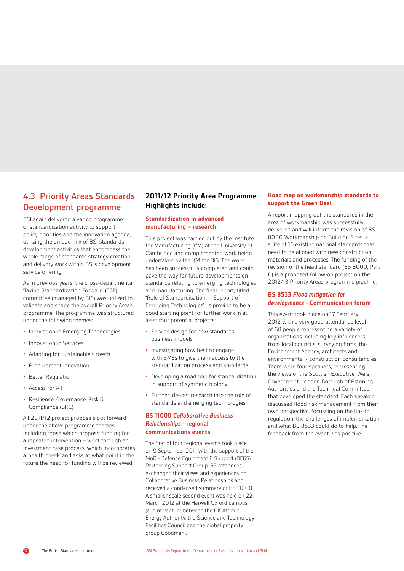# 4.3 Priority Areas Standards Development programme

BSI again delivered a varied programme of standardization activity to support policy priorities and the innovation agenda, utilizing the unique mix of BSI standards development activities that encompass the whole range of standards strategy creation and delivery work within BSI's development service offering.

As in previous years, the cross-departmental 'Taking Standardization Forward' (TSF) committee (managed by BIS) was utilized to validate and shape the overall Priority Areas programme. The programme was structured under the following themes:

- **•** Innovation in Emerging Technologies
- **•** Innovation in Services
- **•** Adapting for Sustainable Growth
- **•** Procurement innovation
- **•** Better Regulation
- **•** Access for All
- **•** Resilience, Governance, Risk & Compliance (GRC)

All 2011/12 project proposals put forward under the above programme themes including those which propose funding for a repeated intervention – went through an investment case process, which incorporates a 'health check' and asks at what point in the future the need for funding will be reviewed.

## **2011/12 Priority Area Programme Highlights include:**

#### **Standardization in advanced manufacturing – research**

This project was carried out by the Institute for Manufacturing (IfM) at the University of Cambridge and complemented work being undertaken by the IfM for BIS. The work has been successfully completed and could pave the way for future developments on standards relating to emerging technologies and manufacturing. The final report, titled "Role of Standardisation in Support of Emerging Technologies", is proving to be a good starting point for further work in at least four potential projects:

- **•** Service design for new standards business models.
- **•** Investigating how best to engage with SMEs to give them access to the standardization process and standards.
- **•** Developing a roadmap for standardization in support of synthetic biology.
- **•** Further, deeper research into the role of standards and emerging technologies.

#### **BS 11000** *Collaborative Business Relationships* **- regional communications events**

The first of four regional events took place on 9 September 2011 with the support of the MoD - Defence Equipment & Support (DE&S) Partnering Support Group. 65 attendees exchanged their views and experiences on Collaborative Business Relationships and received a condensed summary of BS 11000. A smaller scale second event was held on 22 March 2012 at the Harwell Oxford campus (a joint venture between the UK Atomic Energy Authority, the Science and Technology Facilities Council and the global property group Goodman).

## **Road map on workmanship standards to support the Green Deal**

A report mapping out the standards in the area of workmanship was successfully delivered and will inform the revision of BS 8000 Workmanship on Building Sites, a suite of 16 existing national standards that need to be aligned with new construction materials and processes. The funding of the revision of the head standard (BS 8000, Part 0) is a proposed follow-on project on the 2012/13 Priority Areas programme pipeline.

#### **BS 8533** *Flood mitigation for developments* **- Communication forum**

This event took place on 17 February 2012 with a very good attendance level of 68 people representing a variety of organisations including key influencers from local councils, surveying firms, the Environment Agency, architects and environmental / construction consultancies. There were four speakers, representing the views of the Scottish Executive, Welsh Government, London Borough of Planning Authorities and the Technical Committee that developed the standard. Each speaker discussed flood risk management from their own perspective, focussing on the link to regulation, the challenges of implementation, and what BS 8533 could do to help. The feedback from the event was positive.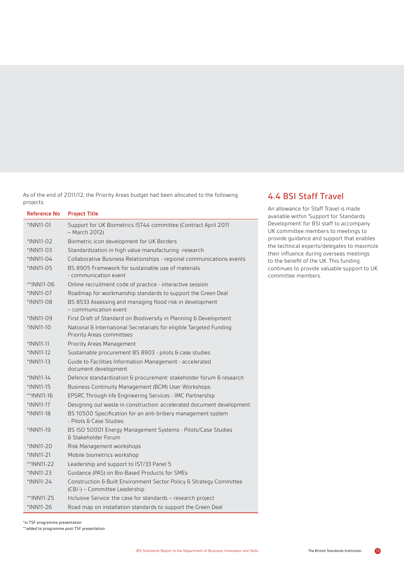As of the end of 2011/12, the Priority Areas budget had been allocated to the following projects:

| <b>Reference No</b> | <b>Project Title</b>                                                                                 |
|---------------------|------------------------------------------------------------------------------------------------------|
| *INN11-01           | Support for UK Biometrics IST44 committee (Contract April 2011<br>- March 2012)                      |
| *INN11-02           | Biometric icon development for UK Borders                                                            |
| *INN11-03           | Standardization in high value manufacturing -research                                                |
| $*INN11-04$         | Collaborative Business Relationships - regional communications events                                |
| *INN11-05           | BS 8905 Framework for sustainable use of materials<br>- communication event                          |
| **INN11-06          | Online recruitment code of practice - interactive session                                            |
| *INN11-07           | Roadmap for workmanship standards to support the Green Deal                                          |
| *INN11-08           | BS 8533 Assessing and managing flood risk in development<br>- communication event                    |
| *INN11-09           | First Draft of Standard on Biodiversity in Planning & Development                                    |
| *INN11-10           | National & International Secretariats for eligible Targeted Funding<br>Priority Areas committees     |
| *INN11-11           | Priority Areas Management                                                                            |
| *INN11-12           | Sustainable procurement BS 8903 - pilots & case studies                                              |
| *INN11-13           | Guide to Facilities Information Management - accelerated<br>document development                     |
| *INN11-14           | Defence standardization & procurement: stakeholder forum & research                                  |
| *INN11-15           | Business Continuity Management (BCM) User Workshops                                                  |
| **INN11-16          | EPSRC Through-life Engineering Services - IMC Partnership                                            |
| *INN11-17           | Designing out waste in construction: accelerated document development                                |
| *INN11-18           | BS 10500 Specification for an anti-bribery management system<br>- Pilots & Case Studies              |
| *INN11-19           | BS ISO 50001 Energy Management Systems - Pilots/Case Studies<br>& Stakeholder Forum                  |
| *INN11-20           | Risk Management workshops                                                                            |
| *INN11-21           | Mobile biometrics workshop                                                                           |
| **INN11-22          | Leadership and support to IST/33 Panel 5                                                             |
| *INN11-23           | Guidance (PAS) on Bio-Based Products for SMEs                                                        |
| *INN11-24           | Construction & Built Environment Sector Policy & Strategy Committee<br>(CB/-) - Committee Leadership |
| **INN11-25          | Inclusive Service: the case for standards - research project                                         |
| *INN11-26           | Road map on installation standards to support the Green Deal                                         |

# 4.4 BSI Staff Travel

An allowance for Staff Travel is made available within 'Support for Standards Development' for BSI staff to accompany UK committee members to meetings to provide guidance and support that enables the technical experts/delegates to maximize their influence during overseas meetings to the benefit of the UK. This funding continues to provide valuable support to UK committee members.

\*in TSF programme presentation

\*\*added to programme post-TSF presentation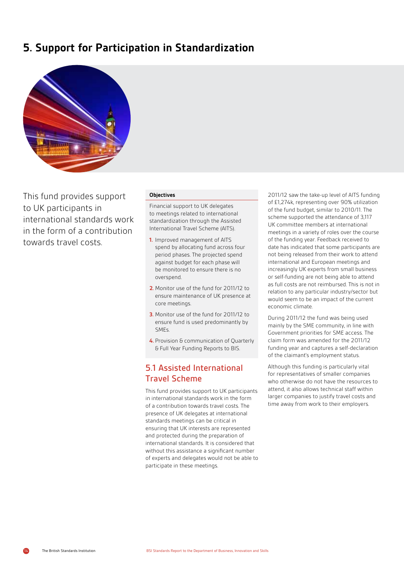# **5. Support for Participation in Standardization**



This fund provides support to UK participants in international standards work in the form of a contribution towards travel costs.

#### **Objectives**

Financial support to UK delegates to meetings related to international standardization through the Assisted International Travel Scheme (AITS).

- **1.** Improved management of AITS spend by allocating fund across four period phases. The projected spend against budget for each phase will be monitored to ensure there is no overspend.
- **2.** Monitor use of the fund for 2011/12 to ensure maintenance of UK presence at core meetings.
- **3.** Monitor use of the fund for 2011/12 to ensure fund is used predominantly by SMEs.
- **4.** Provision & communication of Quarterly & Full Year Funding Reports to BIS.

# 5.1 Assisted International Travel Scheme

This fund provides support to UK participants in international standards work in the form of a contribution towards travel costs. The presence of UK delegates at international standards meetings can be critical in ensuring that UK interests are represented and protected during the preparation of international standards. It is considered that without this assistance a significant number of experts and delegates would not be able to participate in these meetings.

2011/12 saw the take-up level of AITS funding of £1,274k, representing over 90% utilization of the fund budget, similar to 2010/11. The scheme supported the attendance of 3,117 UK committee members at international meetings in a variety of roles over the course of the funding year. Feedback received to date has indicated that some participants are not being released from their work to attend international and European meetings and increasingly UK experts from small business or self-funding are not being able to attend as full costs are not reimbursed. This is not in relation to any particular industry/sector but would seem to be an impact of the current economic climate.

During 2011/12 the fund was being used mainly by the SME community, in line with Government priorities for SME access. The claim form was amended for the 2011/12 funding year and captures a self-declaration of the claimant's employment status.

Although this funding is particularly vital for representatives of smaller companies who otherwise do not have the resources to attend, it also allows technical staff within larger companies to justify travel costs and time away from work to their employers.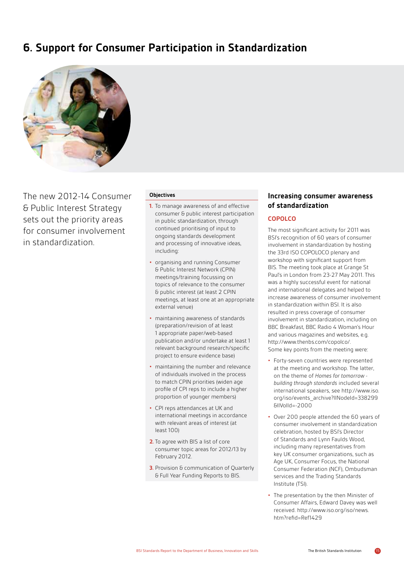# **6. Support for Consumer Participation in Standardization**



The new 2012-14 Consumer & Public Interest Strategy sets out the priority areas for consumer involvement in standardization.

#### **Objectives**

- **1.** To manage awareness of and effective consumer & public interest participation in public standardization, through continued prioritising of input to ongoing standards development and processing of innovative ideas, including:
- **•** organising and running Consumer & Public Interest Network (CPIN) meetings/training focussing on topics of relevance to the consumer & public interest (at least 2 CPIN meetings, at least one at an appropriate external venue)
- **•** maintaining awareness of standards (preparation/revision of at least 1 appropriate paper/web-based publication and/or undertake at least 1 relevant background research/specific project to ensure evidence base)
- **•** maintaining the number and relevance of individuals involved in the process to match CPIN priorities (widen age profile of CPI reps to include a higher proportion of younger members)
- **•** CPI reps attendances at UK and international meetings in accordance with relevant areas of interest (at least 100)
- **2.** To agree with BIS a list of core consumer topic areas for 2012/13 by February 2012.
- **3.** Provision & communication of Quarterly & Full Year Funding Reports to BIS.

## **Increasing consumer awareness of standardization**

## **COPOLCO**

The most significant activity for 2011 was BSI's recognition of 60 years of consumer involvement in standardization by hosting the 33rd ISO COPOLOCO plenary and workshop with significant support from BIS. The meeting took place at Grange St Paul's in London from 23-27 May 2011. This was a highly successful event for national and international delegates and helped to increase awareness of consumer involvement in standardization within BSI. It is also resulted in press coverage of consumer involvement in standardization, including on BBC Breakfast, BBC Radio 4 Woman's Hour and various magazines and websites, e.g. http://www.thenbs.com/copolco/. Some key points from the meeting were:

- **•** Forty-seven countries were represented at the meeting and workshop. The latter, on the theme of *Homes for tomorrow building through standards* included several international speakers, see http://www.iso. [org/iso/events\\_archive?llNodeId=338299](http://www.iso.org/iso/events_archive?llNodeId=338299&llVolId=-2000) &llVolId=-2000
- **•** Over 200 people attended the 60 years of consumer involvement in standardization celebration, hosted by BSI's Director of Standards and Lynn Faulds Wood, including many representatives from key UK consumer organizations, such as Age UK, Consumer Focus, the National Consumer Federation (NCF), Ombudsman services and the Trading Standards Institute (TSI).
- **•** The presentation by the then Minister of Consumer Affairs, Edward Davey was well [received. http://www.iso.org/iso/news.](http://www.iso.org/iso/news.htm?refid=Ref1429) htm?refid=Ref1429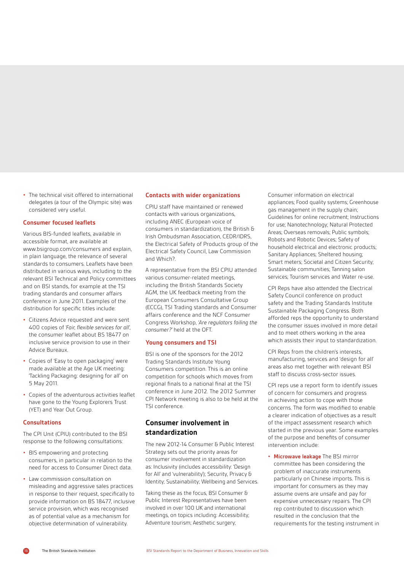**•** The technical visit offered to international delegates (a tour of the Olympic site) was considered very useful.

#### **Consumer focused leaflets**

Various BIS-funded leaflets, available in accessible format, are available at www.bsigroup.com/consumers and explain, in plain language, the relevance of several standards to consumers. Leaflets have been distributed in various ways, including to the relevant BSI Technical and Policy committees and on BSI stands, for example at the TSI trading standards and consumer affairs conference in June 2011. Examples of the distribution for specific titles include:

- **•** Citizens Advice requested and were sent 400 copies of *'Fair, flexible services for all'*, the consumer leaflet about BS 18477 on inclusive service provision to use in their Advice Bureaux.
- **•** Copies of 'Easy to open packaging' were made available at the Age UK meeting: 'Tackling Packaging: designing for all' on 5 May 2011.
- **•** Copies of the adventurous activities leaflet have gone to the Young Explorers Trust (YET) and Year Out Group.

#### **Consultations**

The CPI Unit (CPIU) contributed to the BSI response to the following consultations:

- **•** BIS empowering and protecting consumers, in particular in relation to the need for access to Consumer Direct data.
- **•** Law commission consultation on misleading and aggressive sales practices in response to their request, specifically to provide information on BS 18477, inclusive service provision, which was recognised as of potential value as a mechanism for objective determination of vulnerability.

#### **Contacts with wider organizations**

CPIU staff have maintained or renewed contacts with various organizations, including ANEC (European voice of consumers in standardization), the British & Irish Ombudsman Association, CEDR/IDRS, the Electrical Safety of Products group of the Electrical Safety Council, Law Commission and Which?.

A representative from the BSI CPIU attended various consumer-related meetings, including the British Standards Society AGM, the UK feedback meeting from the European Consumers Consultative Group (ECCG), TSI Trading standards and Consumer affairs conference and the NCF Consumer Congress Workshop, *'Are regulators failing the consumer?'* held at the OFT.

#### **Young consumers and TSI**

BSI is one of the sponsors for the 2012 Trading Standards Institute Young Consumers competition. This is an online competition for schools which moves from regional finals to a national final at the TSI conference in June 2012. The 2012 Summer CPI Network meeting is also to be held at the TSI conference.

## **Consumer involvement in standardization**

The new 2012-14 Consumer & Public Interest Strategy sets out the priority areas for consumer involvement in standardization as: Inclusivity (includes accessibility: 'Design for All' and 'vulnerability'); Security, Privacy & Identity; Sustainability; Wellbeing and Services.

Taking these as the focus, BSI Consumer & Public Interest Representatives have been involved in over 100 UK and international meetings, on topics including: Accessibility; Adventure tourism; Aesthetic surgery;

Consumer information on electrical appliances; Food quality systems; Greenhouse gas management in the supply chain; Guidelines for online recruitment; Instructions for use; Nanotechnology; Natural Protected Areas; Overseas removals; Public symbols; Robots and Robotic Devices; Safety of household electrical and electronic products; Sanitary Appliances; Sheltered housing; Smart meters; Societal and Citizen Security; Sustainable communities; Tanning salon services; Tourism services and Water re-use.

CPI Reps have also attended the Electrical Safety Council conference on product safety and the Trading Standards Institute Sustainable Packaging Congress. Both afforded reps the opportunity to understand the consumer issues involved in more detail and to meet others working in the area which assists their input to standardization.

CPI Reps from the children's interests, manufacturing, services and 'design for all' areas also met together with relevant BSI staff to discuss cross-sector issues.

CPI reps use a report form to identify issues of concern for consumers and progress in achieving action to cope with those concerns. The form was modified to enable a clearer indication of objectives as a result of the impact assessment research which started in the previous year. Some examples of the purpose and benefits of consumer intervention include:

**• Microwave leakage** The BSI mirror committee has been considering the problem of inaccurate instruments particularly on Chinese imports. This is important for consumers as they may assume ovens are unsafe and pay for expensive unnecessary repairs. The CPI rep contributed to discussion which resulted in the conclusion that the requirements for the testing instrument in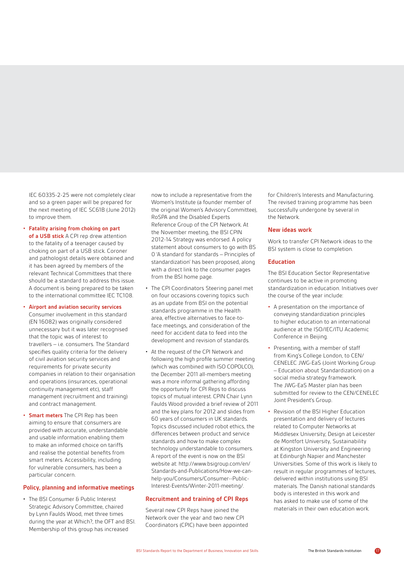IEC 60335-2-25 were not completely clear and so a green paper will be prepared for the next meeting of IEC SC61B (June 2012) to improve them.

**• Fatality arising from choking on part of a USB stick** A CPI rep drew attention to the fatality of a teenager caused by choking on part of a USB stick. Coroner and pathologist details were obtained and it has been agreed by members of the relevant Technical Committees that there should be a standard to address this issue. A document is being prepared to be taken to the international committee IEC TC108.

#### **• Airport and aviation security services**

- Consumer involvement in this standard (EN 16082) was originally considered unnecessary but it was later recognised that the topic was of interest to travellers – i.e. consumers. The Standard specifies quality criteria for the delivery of civil aviation security services and requirements for private security companies in relation to their organisation and operations (insurances, operational continuity management etc), staff management (recruitment and training) and contract management.
- **• Smart meters** The CPI Rep has been aiming to ensure that consumers are provided with accurate, understandable and usable information enabling them to make an informed choice on tariffs and realise the potential benefits from smart meters. Accessibility, including for vulnerable consumers, has been a particular concern.

#### **Policy, planning and informative meetings**

• The BSI Consumer & Public Interest Strategic Advisory Committee, chaired by Lynn Faulds Wood, met three times during the year at Which?, the OFT and BSI. Membership of this group has increased

now to include a representative from the Women's Institute (a founder member of the original Women's Advisory Committee), RoSPA and the Disabled Experts Reference Group of the CPI Network. At the November meeting, the BSI CPIN 2012-14 Strategy was endorsed. A policy statement about consumers to go with BS 0 'A standard for standards – Principles of standardization' has been proposed, along with a direct link to the consumer pages from the BSI home page.

- The CPI Coordinators Steering panel met on four occasions covering topics such as an update from BSI on the potential standards programme in the Health area, effective alternatives to face-toface meetings, and consideration of the need for accident data to feed into the development and revision of standards.
- At the request of the CPI Network and following the high profile summer meeting (which was combined with ISO COPOLCO), the December 2011 all-members meeting was a more informal gathering affording the opportunity for CPI Reps to discuss topics of mutual interest. CPIN Chair Lynn Faulds Wood provided a brief review of 2011 and the key plans for 2012 and slides from 60 years of consumers in UK standards. Topics discussed included robot ethics, the differences between product and service standards and how to make complex technology understandable to consumers. A report of the event is now on the BSI website at: http://www.bsigroup.com/en/ [Standards-and-Publications/How-we-can](http://www.bsigroup.com/en/Standards-and-Publications/How-we-can-help-you/Consumers/Consumer--Public-Interest-Events/Winter-2011-meeting/)help-you/Consumers/Consumer--Public-Interest-Events/Winter-2011-meeting/.

#### **Recruitment and training of CPI Reps**

Several new CPI Reps have joined the Network over the year and two new CPI Coordinators (CPIC) have been appointed for Children's Interests and Manufacturing. The revised training programme has been successfully undergone by several in the Network.

#### **New ideas work**

Work to transfer CPI Network ideas to the BSI system is close to completion.

#### **Education**

The BSI Education Sector Representative continues to be active in promoting standardization in education. Initiatives over the course of the year include:

- **•** A presentation on the importance of conveying standardization principles to higher education to an international audience at the ISO/IEC/ITU Academic Conference in Beijing.
- **•** Presenting, with a member of staff from King's College London, to CEN/ CENELEC JWG-EaS (Joint Working Group – Education about Standardization) on a social media strategy framework. The JWG-EaS Master plan has been submitted for review to the CEN/CENELEC Joint President's Group.
- **•** Revision of the BSI Higher Education presentation and delivery of lectures related to Computer Networks at Middlesex University; Design at Leicester de Montfort University, Sustainability at Kingston University and Engineering at Edinburgh Napier and Manchester Universities. Some of this work is likely to result in regular programmes of lectures, delivered within institutions using BSI materials. The Danish national standards body is interested in this work and has asked to make use of some of the materials in their own education work.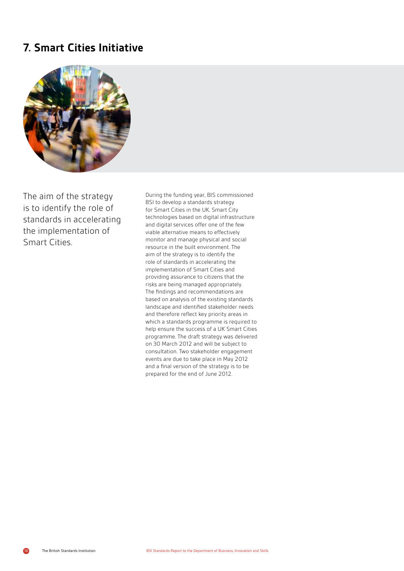# **7. Smart Cities Initiative**



The aim of the strategy is to identify the role of standards in accelerating the implementation of Smart Cities.

During the funding year, BIS commissioned BSI to develop a standards strategy for Smart Cities in the UK. Smart City technologies based on digital infrastructure and digital services offer one of the few viable alternative means to effectively monitor and manage physical and social resource in the built environment. The aim of the strategy is to identify the role of standards in accelerating the implementation of Smart Cities and providing assurance to citizens that the risks are being managed appropriately. The findings and recommendations are based on analysis of the existing standards landscape and identified stakeholder needs and therefore reflect key priority areas in which a standards programme is required to help ensure the success of a UK Smart Cities programme. The draft strategy was delivered on 30 March 2012 and will be subject to consultation. Two stakeholder engagement events are due to take place in May 2012 and a final version of the strategy is to be prepared for the end of June 2012.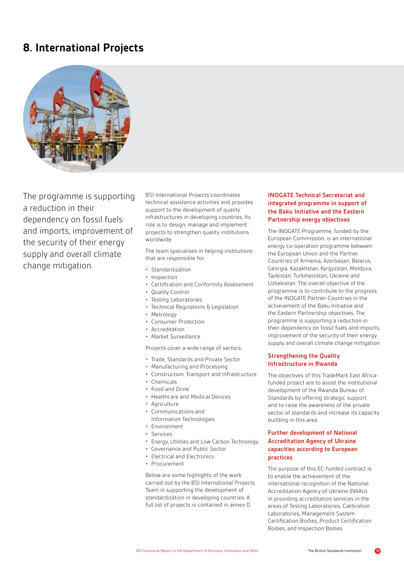# **8. International Projects**



The programme is supporting a reduction in their dependency on fossil fuels and imports, improvement of the security of their energy supply and overall climate change mitigation.

BSI International Projects coordinates technical assistance activities and provides support to the development of quality infrastructures in developing countries. Its role is to design, manage and implement projects to strengthen quality institutions worldwide.

The team specialises in helping institutions that are responsible for:

- **•** Standardization
- **•** Inspection
- **•** Certification and Conformity Assessment
- **•** Quality Control
- **•** Testing Laboratories
- **•** Technical Regulations & Legislation
- **•** Metrology
- **•** Consumer Protection
- **•** Accreditation
- **•** Market Surveillance

Projects cover a wide range of sectors:

- **•** Trade, Standards and Private Sector
- **•** Manufacturing and Processing
- **•** Construction, Transport and Infrastructure
- **•** Chemicals
- **•** Food and Drink
- **•** Healthcare and Medical Devices
- **•** Agriculture
- **•** Communications and
- Information Technologies
- **•** Environment
- **•** Services
- **•** Energy, Utilities and Low Carbon Technology
- **•** Governance and Public Sector
- **•** Electrical and Electronics
- **•** Procurement

Below are some highlights of the work carried out by the BSI International Projects Team in supporting the development of standardization in developing countries. A full list of projects is contained in annex D.

## **INOGATE Technical Secretariat and integrated programme in support of the Baku Initiative and the Eastern Partnership energy objectives**

The INOGATE Programme, funded by the European Commission, is an international energy co-operation programme between the European Union and the Partner Countries of Armenia, Azerbaijan, Belarus, Georgia, Kazakhstan, Kyrgyzstan, Moldova, Tajikistan, Turkmenistan, Ukraine and Uzbekistan. The overall objective of the programme is to contribute to the progress of the INOGATE Partner Countries in the achievement of the Baku Initiative and the Eastern Partnership objectives. The programme is supporting a reduction in their dependency on fossil fuels and imports, improvement of the security of their energy supply and overall climate change mitigation.

## **Strengthening the Quality Infrastructure in Rwanda**

The objectives of this TradeMark East Africafunded project are to assist the institutional development of the Rwanda Bureau of Standards by offering strategic support and to raise the awareness of the private sector of standards and increase its capacity building in this area.

## **Further development of National Accreditation Agency of Ukraine capacities according to European practices**

The purpose of this EC-funded contract is to enable the achievement of the international recognition of the National Accreditation Agency of Ukraine (NAAU) in providing accreditation services in the areas of Testing Laboratories, Calibration Laboratories, Management System Certification Bodies, Product Certification Bodies, and Inspection Bodies.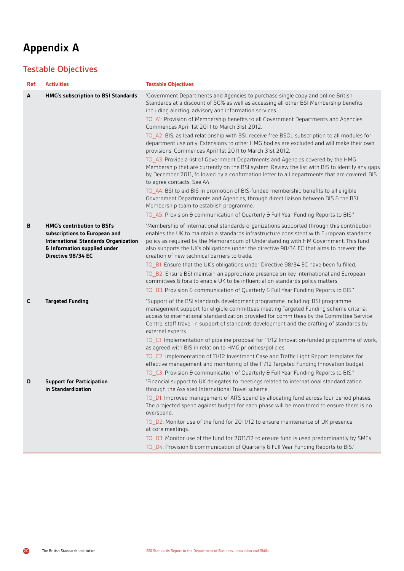# **Appendix A**

# Testable Objectives

| Ref: | <b>Activities</b>                                                                                                                                                        | <b>Testable Objectives</b>                                                                                                                                                                                                                                                                                                                                                                                              |
|------|--------------------------------------------------------------------------------------------------------------------------------------------------------------------------|-------------------------------------------------------------------------------------------------------------------------------------------------------------------------------------------------------------------------------------------------------------------------------------------------------------------------------------------------------------------------------------------------------------------------|
| A    | HMG's subscription to BSI Standards                                                                                                                                      | "Government Departments and Agencies to purchase single copy and online British<br>Standards at a discount of 50% as well as accessing all other BSI Membership benefits<br>including alerting, advisory and information services.                                                                                                                                                                                      |
|      |                                                                                                                                                                          | TO_A1: Provision of Membership benefits to all Government Departments and Agencies.<br>Commences April 1st 2011 to March 31st 2012.                                                                                                                                                                                                                                                                                     |
|      |                                                                                                                                                                          | TO_A2: BIS, as lead relationship with BSI, receive free BSOL subscription to all modules for<br>department use only. Extensions to other HMG bodies are excluded and will make their own<br>provisions. Commences April 1st 2011 to March 31st 2012.                                                                                                                                                                    |
|      |                                                                                                                                                                          | TO_A3: Provide a list of Government Departments and Agencies covered by the HMG<br>Membership that are currently on the BSI system. Review the list with BIS to identify any gaps<br>by December 2011, followed by a confirmation letter to all departments that are covered. BIS<br>to agree contacts. See A4.                                                                                                         |
|      |                                                                                                                                                                          | TO_A4: BSI to aid BIS in promotion of BIS-funded membership benefits to all eligible<br>Government Departments and Agencies, through direct liaison between BIS & the BSI<br>Membership team to establish programme.                                                                                                                                                                                                    |
|      |                                                                                                                                                                          | TO A5: Provision & communication of Quarterly & Full Year Funding Reports to BIS."                                                                                                                                                                                                                                                                                                                                      |
| В    | <b>HMG's contribution to BSI's</b><br>subscriptions to European and<br><b>International Standards Organization</b><br>& Information supplied under<br>Directive 98/34 EC | "Membership of international standards organizations supported through this contribution<br>enables the UK to maintain a standards infrastructure consistent with European standards<br>policy as required by the Memorandum of Understanding with HM Government. This fund<br>also supports the UK's obligations under the directive 98/34 EC that aims to prevent the<br>creation of new technical barriers to trade. |
|      |                                                                                                                                                                          | TO B1: Ensure that the UK's obligations under Directive 98/34 EC have been fulfilled.                                                                                                                                                                                                                                                                                                                                   |
|      |                                                                                                                                                                          | TO_B2: Ensure BSI maintain an appropriate presence on key international and European<br>committees & fora to enable UK to be influential on standards policy matters.                                                                                                                                                                                                                                                   |
|      |                                                                                                                                                                          | TO_B3: Provision & communication of Quarterly & Full Year Funding Reports to BIS."                                                                                                                                                                                                                                                                                                                                      |
| C    | <b>Targeted Funding</b>                                                                                                                                                  | "Support of the BSI standards development programme including: BSI programme<br>management support for eligible committees meeting Targeted Funding scheme criteria,<br>access to international standardization provided for committees by the Committee Service<br>Centre, staff travel in support of standards development and the drafting of standards by<br>external experts.                                      |
|      |                                                                                                                                                                          | TO_C1: Implementation of pipeline proposal for 11/12 Innovation-funded programme of work,<br>as agreed with BIS in relation to HMG priorities/policies.                                                                                                                                                                                                                                                                 |
|      |                                                                                                                                                                          | TO C2: Implementation of 11/12 Investment Case and Traffic Light Report templates for<br>effective management and monitoring of the 11/12 Targeted Funding Innovation budget.                                                                                                                                                                                                                                           |
|      |                                                                                                                                                                          | TO_C3: Provision & communication of Quarterly & Full Year Funding Reports to BIS."                                                                                                                                                                                                                                                                                                                                      |
| D    | <b>Support for Participation</b><br>in Standardization                                                                                                                   | "Financial support to UK delegates to meetings related to international standardization<br>through the Assisted International Travel scheme.                                                                                                                                                                                                                                                                            |
|      |                                                                                                                                                                          | TO D1: Improved management of AITS spend by allocating fund across four period phases.<br>The projected spend against budget for each phase will be monitored to ensure there is no<br>overspend.                                                                                                                                                                                                                       |
|      |                                                                                                                                                                          | TO_D2: Monitor use of the fund for 2011/12 to ensure maintenance of UK presence<br>at core meetings.                                                                                                                                                                                                                                                                                                                    |
|      |                                                                                                                                                                          | TO_D3: Monitor use of the fund for 2011/12 to ensure fund is used predominantly by SMEs.                                                                                                                                                                                                                                                                                                                                |
|      |                                                                                                                                                                          | TO D4: Provision & communication of Quarterly & Full Year Funding Reports to BIS."                                                                                                                                                                                                                                                                                                                                      |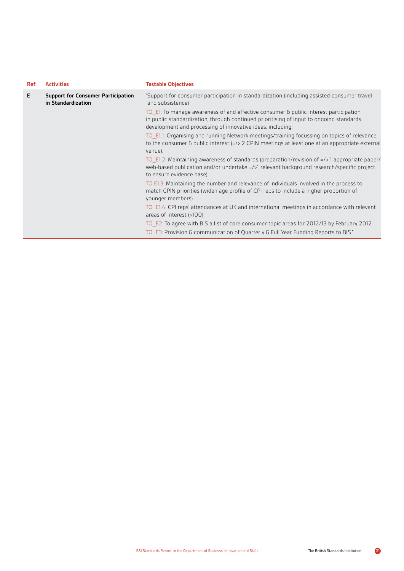| Ref: | <b>Activities</b>                                               | <b>Testable Objectives</b>                                                                                                                                                                                                                    |
|------|-----------------------------------------------------------------|-----------------------------------------------------------------------------------------------------------------------------------------------------------------------------------------------------------------------------------------------|
| Е    | <b>Support for Consumer Participation</b><br>in Standardization | "Support for consumer participation in standardization (including assisted consumer travel<br>and subsistence)                                                                                                                                |
|      |                                                                 | TO E1: To manage awareness of and effective consumer & public interest participation<br>in public standardization, through continued prioritising of input to ongoing standards<br>development and processing of innovative ideas, including: |
|      |                                                                 | TO E1.1: Organising and running Network meetings/training focussing on topics of relevance<br>to the consumer $\epsilon$ public interest ( $\epsilon$ /> 2 CPIN meetings at least one at an appropriate external<br>venue).                   |
|      |                                                                 | TO_E1.2: Maintaining awareness of standards (preparation/revision of =/>1 appropriate paper/<br>web-based publication and/or undertake =/>1 relevant background research/specific project<br>to ensure evidence base).                        |
|      |                                                                 | TO E1.3: Maintaining the number and relevance of individuals involved in the process to<br>match CPIN priorities (widen age profile of CPI reps to include a higher proportion of<br>younger members).                                        |
|      |                                                                 | TO E1.4: CPI reps' attendances at UK and international meetings in accordance with relevant<br>areas of interest (>100).                                                                                                                      |
|      |                                                                 | TO E2: To agree with BIS a list of core consumer topic areas for 2012/13 by February 2012.                                                                                                                                                    |
|      |                                                                 | TO E3: Provision & communication of Quarterly & Full Year Funding Reports to BIS."                                                                                                                                                            |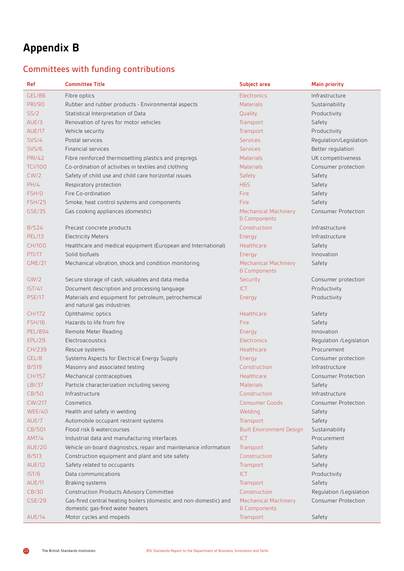# **Appendix B**

# Committees with funding contributions

| <b>Ref</b>     | <b>Committee Title</b>                                                                                | Subject area                                | <b>Main priority</b>       |
|----------------|-------------------------------------------------------------------------------------------------------|---------------------------------------------|----------------------------|
| <b>GEL/86</b>  | Fibre optics                                                                                          | Electronics                                 | Infrastructure             |
| <b>PRI/90</b>  | Rubber and rubber products - Environmental aspects                                                    | <b>Materials</b>                            | Sustainability             |
| SS/2           | Statistical Interpretation of Data                                                                    | Quality                                     | Productivity               |
| AUE/3          | Renovation of tyres for motor vehicles                                                                | Transport                                   | Safety                     |
| AUE/17         | Vehicle security                                                                                      | Transport                                   | Productivity               |
| SVS/4          | Postal services                                                                                       | <b>Services</b>                             | Regulation/Legislation     |
| <b>SVS/6</b>   | Financial services                                                                                    | <b>Services</b>                             | Better regulation          |
| <b>PRI/42</b>  | Fibre reinforced thermosetting plastics and prepregs                                                  | <b>Materials</b>                            | UK competitiveness         |
| <b>TCI/100</b> | Co-ordination of activities in textiles and clothing                                                  | Materials                                   | Consumer protection        |
| CW/2           | Safety of child use and child care horizontal issues                                                  | Safety                                      | Safety                     |
| PH/4           | Respiratory protection                                                                                | H <sub>8</sub> S                            | Safety                     |
| FSH/0          | Fire Co-ordination                                                                                    | Fire                                        | Safety                     |
| <b>FSH/25</b>  | Smoke, heat control systems and components                                                            | Fire                                        | Safety                     |
| GSE/35         | Gas cooking appliances (domestic)                                                                     | <b>Mechanical Machinery</b><br>& Components | <b>Consumer Protection</b> |
| <b>B/524</b>   | Precast concrete products                                                                             | Construction                                | Infrastructure             |
| <b>PEL/13</b>  | <b>Electricity Meters</b>                                                                             | Energy                                      | Infrastructure             |
| <b>CH/100</b>  | Healthcare and medical equipment (European and International)                                         | Healthcare                                  | Safety                     |
| <b>PTI/17</b>  | Solid biofuels                                                                                        | Energy                                      | Innovation                 |
| <b>GME/21</b>  | Mechanical vibration, shock and condition monitoring                                                  | <b>Mechanical Machinery</b><br>& Components | Safety                     |
| GW/2           | Secure storage of cash, valuables and data media                                                      | Security                                    | Consumer protection        |
| <b>IST/41</b>  | Document description and processing language                                                          | <b>ICT</b>                                  | Productivity               |
| <b>PSE/17</b>  | Materials and equipment for petroleum, petrochemical<br>and natural gas industries                    | Energy                                      | Productivity               |
| CH/172         | Ophthalmic optics                                                                                     | Healthcare                                  | Safety                     |
| <b>FSH/16</b>  | Hazards to life from fire                                                                             | Fire                                        | Safety                     |
| PEL/894        | Remote Meter Reading                                                                                  | Energy                                      | Innovation                 |
| <b>EPL/29</b>  | Electroacoustics                                                                                      | Electronics                                 | Regulation /Legislation    |
| CH/239         | Rescue systems                                                                                        | Healthcare                                  | Procurement                |
| GEL/8          | Systems Aspects for Electrical Energy Supply                                                          | Energy                                      | Consumer protection        |
| <b>B/519</b>   | Masonry and associated testing                                                                        | Construction                                | Infrastructure             |
| CH/157         | Mechanical contraceptives                                                                             | Healthcare                                  | <b>Consumer Protection</b> |
| LBI/37         | Particle characterization including sieving                                                           | Materials                                   | Safety                     |
| CB/50          | Infrastructure                                                                                        | Construction                                | Infrastructure             |
| <b>CW/217</b>  | Cosmetics                                                                                             | <b>Consumer Goods</b>                       | <b>Consumer Protection</b> |
| WEE/40         | Health and safety in welding                                                                          | Welding                                     | Safety                     |
| AUE/7          | Automobile occupant restraint systems                                                                 | Transport                                   | Safety                     |
| CB/501         | Flood risk & watercourses                                                                             | <b>Built Environment Design</b>             | Sustainability             |
| AMT/4          | Industrial data and manufacturing interfaces                                                          | <b>ICT</b>                                  | Procurement                |
| <b>AUE/20</b>  | Vehicle on-board diagnostics, repair and maintenance information                                      | Transport                                   | Safety                     |
| <b>B/513</b>   | Construction equipment and plant and site safety                                                      | Construction                                | Safety                     |
| <b>AUE/12</b>  | Safety related to occupants                                                                           | Transport                                   | Safety                     |
| <b>IST/6</b>   | Data communications                                                                                   | <b>ICT</b>                                  | Productivity               |
| <b>AUE/11</b>  | Braking systems                                                                                       | Transport                                   | Safety                     |
| <b>CB/30</b>   | <b>Construction Products Advisory Committee</b>                                                       | Construction                                | Regulation / Legislation   |
| GSE/29         | Gas-fired central heating boilers (domestic and non-domestic) and<br>domestic gas-fired water heaters | <b>Mechanical Machinery</b><br>& Components | <b>Consumer Protection</b> |
| AUE/14         | Motor cycles and mopeds                                                                               | Transport                                   | Safety                     |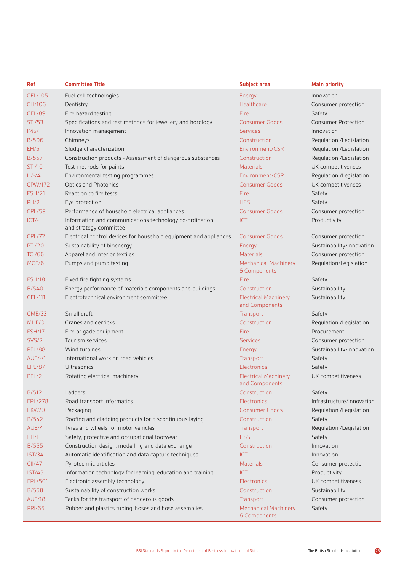| Ref            | <b>Committee Title</b>                                                            | <b>Subject area</b>                           | <b>Main priority</b>       |
|----------------|-----------------------------------------------------------------------------------|-----------------------------------------------|----------------------------|
| GEL/105        | Fuel cell technologies                                                            | Energy                                        | Innovation                 |
| CH/106         | Dentistry                                                                         | Healthcare                                    | Consumer protection        |
| <b>GEL/89</b>  | Fire hazard testing                                                               | Fire                                          | Safety                     |
| <b>STI/53</b>  | Specifications and test methods for jewellery and horology                        | <b>Consumer Goods</b>                         | <b>Consumer Protection</b> |
| IMS/1          | Innovation management                                                             | <b>Services</b>                               | Innovation                 |
| <b>B/506</b>   | Chimneys                                                                          | Construction                                  | Regulation /Legislation    |
| EH/5           | Sludge characterization                                                           | Environment/CSR                               | Regulation /Legislation    |
| <b>B/557</b>   | Construction products - Assessment of dangerous substances                        | Construction                                  | Regulation /Legislation    |
| <b>STI/10</b>  | Test methods for paints                                                           | <b>Materials</b>                              | UK competitiveness         |
| $H/-/4$        | Environmental testing programmes                                                  | Environment/CSR                               | Regulation /Legislation    |
| <b>CPW/172</b> | Optics and Photonics                                                              | <b>Consumer Goods</b>                         | UK competitiveness         |
| <b>FSH/21</b>  | Reaction to fire tests                                                            | Fire                                          | Safety                     |
| PH/2           | Eye protection                                                                    | <b>H&amp;S</b>                                | Safety                     |
| <b>CPL/59</b>  | Performance of household electrical appliances                                    | <b>Consumer Goods</b>                         | Consumer protection        |
| $ICT/-$        | Information and communications technology co-ordination<br>and strategy committee | <b>ICT</b>                                    | Productivity               |
| <b>CPL/72</b>  | Electrical control devices for household equipment and appliances                 | <b>Consumer Goods</b>                         | Consumer protection        |
| <b>PTI/20</b>  | Sustainability of bioenergy                                                       | Energy                                        | Sustainability/Innovation  |
| <b>TCI/66</b>  | Apparel and interior textiles                                                     | <b>Materials</b>                              | Consumer protection        |
| MCE/6          | Pumps and pump testing                                                            | <b>Mechanical Machinery</b><br>& Components   | Regulation/Legislation     |
| <b>FSH/18</b>  | Fixed fire fighting systems                                                       | Fire                                          | Safety                     |
| <b>B/540</b>   | Energy performance of materials components and buildings                          | Construction                                  | Sustainability             |
| GEL/111        | Electrotechnical environment committee                                            | <b>Electrical Machinery</b><br>and Components | Sustainability             |
| <b>GME/33</b>  | Small craft                                                                       | Transport                                     | Safety                     |
| MHE/3          | Cranes and derricks                                                               | Construction                                  | Regulation /Legislation    |
| <b>FSH/17</b>  | Fire brigade equipment                                                            | Fire                                          | Procurement                |
| <b>SVS/2</b>   | Tourism services                                                                  | <b>Services</b>                               | Consumer protection        |
| <b>PEL/88</b>  | Wind turbines                                                                     | Energy                                        | Sustainability/Innovation  |
| $AUE/-/1$      | International work on road vehicles                                               | Transport                                     | Safety                     |
| <b>EPL/87</b>  | Ultrasonics                                                                       | Electronics                                   | Safety                     |
| PEL/2          | Rotating electrical machinery                                                     | <b>Electrical Machinery</b><br>and Components | UK competitiveness         |
| <b>B/512</b>   | Ladders                                                                           | Construction                                  | Safety                     |
| <b>EPL/278</b> | Road transport informatics                                                        | <b>Electronics</b>                            | Infrastructure/Innovation  |
| PKW/0          | Packaging                                                                         | <b>Consumer Goods</b>                         | Regulation /Legislation    |
| B/542          | Roofing and cladding products for discontinuous laying                            | Construction                                  | Safety                     |
| AUE/4          | Tyres and wheels for motor vehicles                                               | Transport                                     | Regulation /Legislation    |
| <b>PH/1</b>    | Safety, protective and occupational footwear                                      | H&S                                           | Safety                     |
| <b>B/555</b>   | Construction design, modelling and data exchange                                  | Construction                                  | Innovation                 |
| <b>IST/34</b>  | Automatic identification and data capture techniques                              | <b>ICT</b>                                    | Innovation                 |
| CII/47         | Pyrotechnic articles                                                              | <b>Materials</b>                              | Consumer protection        |
| <b>IST/43</b>  | Information technology for learning, education and training                       | <b>ICT</b>                                    | Productivity               |
| EPL/501        | Electronic assembly technology                                                    | <b>Electronics</b>                            | UK competitiveness         |
| <b>B/558</b>   | Sustainability of construction works                                              | Construction                                  | Sustainability             |
| <b>AUE/18</b>  | Tanks for the transport of dangerous goods                                        | Transport                                     | Consumer protection        |
| <b>PRI/66</b>  | Rubber and plastics tubing, hoses and hose assemblies                             | <b>Mechanical Machinery</b><br>& Components   | Safety                     |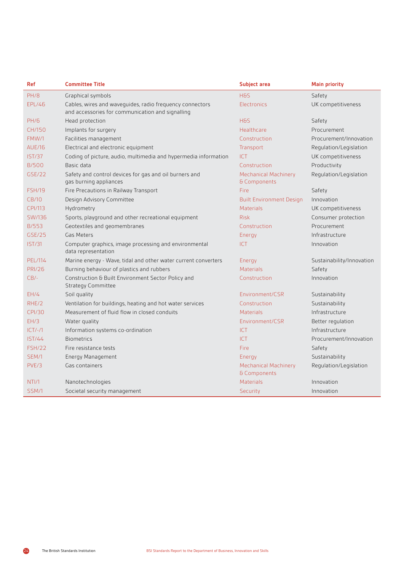| Ref            | <b>Committee Title</b>                                                                                       | Subject area                                | <b>Main priority</b>      |  |
|----------------|--------------------------------------------------------------------------------------------------------------|---------------------------------------------|---------------------------|--|
| <b>PH/8</b>    | Graphical symbols                                                                                            | H&S                                         | Safety                    |  |
| <b>EPL/46</b>  | Cables, wires and wavequides, radio frequency connectors<br>and accessories for communication and signalling | Electronics                                 | UK competitiveness        |  |
| <b>PH/6</b>    | Head protection                                                                                              | H&S                                         | Safety                    |  |
| CH/150         | Implants for surgery                                                                                         | Healthcare                                  | Procurement               |  |
| FMW/1          | Facilities management                                                                                        | Construction                                | Procurement/Innovation    |  |
| <b>AUE/16</b>  | Electrical and electronic equipment                                                                          | Transport                                   | Regulation/Legislation    |  |
| <b>IST/37</b>  | Coding of picture, audio, multimedia and hypermedia information                                              | <b>ICT</b>                                  | UK competitiveness        |  |
| <b>B/500</b>   | Basic data                                                                                                   | Construction                                | Productivity              |  |
| <b>GSE/22</b>  | Safety and control devices for gas and oil burners and<br>gas burning appliances                             | <b>Mechanical Machinery</b><br>& Components | Regulation/Legislation    |  |
| <b>FSH/19</b>  | Fire Precautions in Railway Transport                                                                        | Fire                                        | Safety                    |  |
| <b>CB/10</b>   | Design Advisory Committee                                                                                    | <b>Built Environment Design</b>             | Innovation                |  |
| <b>CPI/113</b> | Hydrometry                                                                                                   | <b>Materials</b>                            | UK competitiveness        |  |
| <b>SW/136</b>  | Sports, playground and other recreational equipment                                                          | <b>Risk</b>                                 | Consumer protection       |  |
| <b>B/553</b>   | Geotextiles and geomembranes                                                                                 | Construction                                | Procurement               |  |
| GSE/25         | Gas Meters                                                                                                   | Energy                                      | Infrastructure            |  |
| <b>IST/31</b>  | Computer graphics, image processing and environmental<br>data representation                                 | <b>ICT</b>                                  | Innovation                |  |
| <b>PEL/114</b> | Marine energy - Wave, tidal and other water current converters                                               | Energy                                      | Sustainability/Innovation |  |
| <b>PRI/26</b>  | Burning behaviour of plastics and rubbers                                                                    | <b>Materials</b>                            | Safety                    |  |
| $CB/-$         | Construction & Built Environment Sector Policy and<br><b>Strategy Committee</b>                              | Construction                                | Innovation                |  |
| EH/4           | Soil quality                                                                                                 | Environment/CSR                             | Sustainability            |  |
| RHE/2          | Ventilation for buildings, heating and hot water services                                                    | Construction                                | Sustainability            |  |
| <b>CPI/30</b>  | Measurement of fluid flow in closed conduits                                                                 | <b>Materials</b>                            | Infrastructure            |  |
| EH/3           | Water quality                                                                                                | Environment/CSR                             | Better regulation         |  |
| $ CT/-/1$      | Information systems co-ordination                                                                            | ICT                                         | Infrastructure            |  |
| IST/44         | <b>Biometrics</b>                                                                                            | <b>ICT</b>                                  | Procurement/Innovation    |  |
| <b>FSH/22</b>  | Fire resistance tests                                                                                        | Fire                                        | Safety                    |  |
| SEM/1          | Energy Management                                                                                            | Energy                                      | Sustainability            |  |
| PVE/3          | Gas containers                                                                                               | <b>Mechanical Machinery</b><br>& Components | Regulation/Legislation    |  |
| NTI/1          | Nanotechnologies                                                                                             | <b>Materials</b>                            | Innovation                |  |
| SSM/1          | Societal security management                                                                                 | Security                                    | Innovation                |  |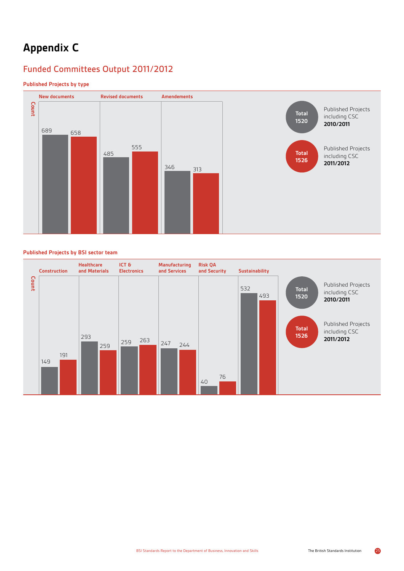# **Appendix C**

# Funded Committees Output 2011/2012

## **Published Projects by type**



#### **Published Projects by BSI sector team**

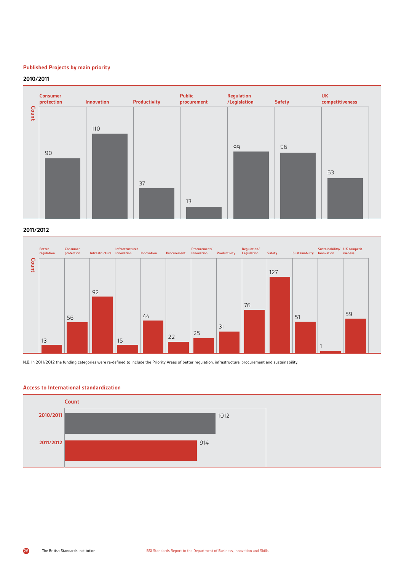## **Published Projects by main priority**

#### **2010/2011**





N.B. In 2011/2012 the funding categories were re-defined to include the Priority Areas of better regulation, infrastructure, procurement and sustainability.

#### **Access to International standardization**

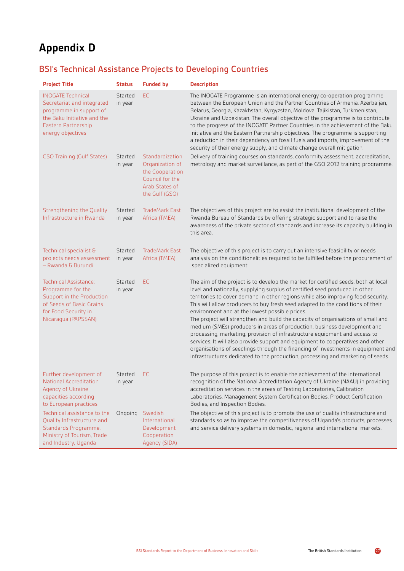# **Appendix D**

# BSI's Technical Assistance Projects to Developing Countries

| <b>Project Title</b>                                                                                                                                         | <b>Status</b>      | <b>Funded by</b>                                                                                             | <b>Description</b>                                                                                                                                                                                                                                                                                                                                                                                                                                                                                                                                                                                                                                                                                                                                                                                                                                                                               |
|--------------------------------------------------------------------------------------------------------------------------------------------------------------|--------------------|--------------------------------------------------------------------------------------------------------------|--------------------------------------------------------------------------------------------------------------------------------------------------------------------------------------------------------------------------------------------------------------------------------------------------------------------------------------------------------------------------------------------------------------------------------------------------------------------------------------------------------------------------------------------------------------------------------------------------------------------------------------------------------------------------------------------------------------------------------------------------------------------------------------------------------------------------------------------------------------------------------------------------|
| <b>INOGATE Technical</b><br>Secretariat and integrated<br>programme in support of<br>the Baku Initiative and the<br>Eastern Partnership<br>energy objectives | Started<br>in year | EC.                                                                                                          | The INOGATE Programme is an international energy co-operation programme<br>between the European Union and the Partner Countries of Armenia, Azerbaijan,<br>Belarus, Georgia, Kazakhstan, Kyrgyzstan, Moldova, Tajikistan, Turkmenistan,<br>Ukraine and Uzbekistan. The overall objective of the programme is to contribute<br>to the progress of the INOGATE Partner Countries in the achievement of the Baku<br>Initiative and the Eastern Partnership objectives. The programme is supporting<br>a reduction in their dependency on fossil fuels and imports, improvement of the<br>security of their energy supply, and climate change overall mitigation.                                                                                                                                                                                                                                    |
| <b>GSO Training (Gulf States)</b>                                                                                                                            | Started<br>in year | Standardization<br>Organization of<br>the Cooperation<br>Council for the<br>Arab States of<br>the Gulf (GSO) | Delivery of training courses on standards, conformity assessment, accreditation,<br>metrology and market surveillance, as part of the GSO 2012 training programme.                                                                                                                                                                                                                                                                                                                                                                                                                                                                                                                                                                                                                                                                                                                               |
| Strengthening the Quality<br>Infrastructure in Rwanda                                                                                                        | Started<br>in year | <b>TradeMark East</b><br>Africa (TMEA)                                                                       | The objectives of this project are to assist the institutional development of the<br>Rwanda Bureau of Standards by offering strategic support and to raise the<br>awareness of the private sector of standards and increase its capacity building in<br>this area.                                                                                                                                                                                                                                                                                                                                                                                                                                                                                                                                                                                                                               |
| Technical specialist &<br>projects needs assessment<br>- Rwanda & Burundi                                                                                    | Started<br>in year | <b>TradeMark East</b><br>Africa (TMEA)                                                                       | The objective of this project is to carry out an intensive feasibility or needs<br>analysis on the conditionalities required to be fulfilled before the procurement of<br>specialized equipment.                                                                                                                                                                                                                                                                                                                                                                                                                                                                                                                                                                                                                                                                                                 |
| Technical Assistance:<br>Programme for the<br>Support in the Production<br>of Seeds of Basic Grains<br>for Food Security in<br>Nicaragua (PAPSSAN)           | Started<br>in year | EC.                                                                                                          | The aim of the project is to develop the market for certified seeds, both at local<br>level and nationally, supplying surplus of certified seed produced in other<br>territories to cover demand in other regions while also improving food security.<br>This will allow producers to buy fresh seed adapted to the conditions of their<br>environment and at the lowest possible prices.<br>The project will strengthen and build the capacity of organisations of small and<br>medium (SMEs) producers in areas of production, business development and<br>processing, marketing, provision of infrastructure equipment and access to<br>services. It will also provide support and equipment to cooperatives and other<br>organisations of seedlings through the financing of investments in equipment and<br>infrastructures dedicated to the production, processing and marketing of seeds. |
| Further development of<br>National Accreditation<br>Agency of Ukraine<br>capacities according<br>to European practices                                       | Started<br>in year | EC.                                                                                                          | The purpose of this project is to enable the achievement of the international<br>recognition of the National Accreditation Agency of Ukraine (NAAU) in providing<br>accreditation services in the areas of Testing Laboratories, Calibration<br>Laboratories, Management System Certification Bodies, Product Certification<br>Bodies, and Inspection Bodies.                                                                                                                                                                                                                                                                                                                                                                                                                                                                                                                                    |
| Technical assistance to the<br>Quality Infrastructure and<br>Standards Programme,<br>Ministry of Tourism, Trade<br>and Industry, Uganda                      | Ongoing            | Swedish<br>International<br>Development<br>Cooperation<br>Agency (SIDA)                                      | The objective of this project is to promote the use of quality infrastructure and<br>standards so as to improve the competitiveness of Uganda's products, processes<br>and service delivery systems in domestic, regional and international markets.                                                                                                                                                                                                                                                                                                                                                                                                                                                                                                                                                                                                                                             |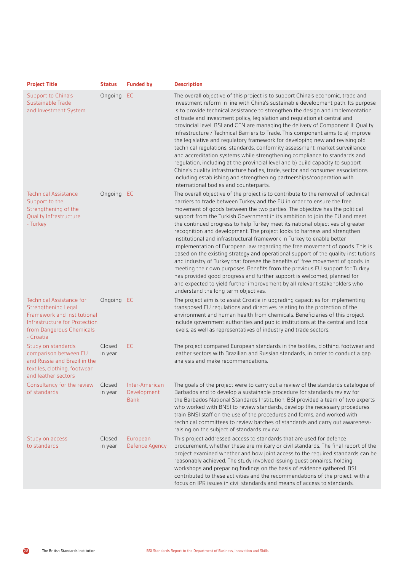| <b>Project Title</b>                                                                                                                                            | <b>Status</b>     | <b>Funded by</b>                             | <b>Description</b>                                                                                                                                                                                                                                                                                                                                                                                                                                                                                                                                                                                                                                                                                                                                                                                                                                                                                                                                                                                                                                                                                         |
|-----------------------------------------------------------------------------------------------------------------------------------------------------------------|-------------------|----------------------------------------------|------------------------------------------------------------------------------------------------------------------------------------------------------------------------------------------------------------------------------------------------------------------------------------------------------------------------------------------------------------------------------------------------------------------------------------------------------------------------------------------------------------------------------------------------------------------------------------------------------------------------------------------------------------------------------------------------------------------------------------------------------------------------------------------------------------------------------------------------------------------------------------------------------------------------------------------------------------------------------------------------------------------------------------------------------------------------------------------------------------|
| Support to China's<br>Sustainable Trade<br>and Investment System                                                                                                | Ongoing EC        |                                              | The overall objective of this project is to support China's economic, trade and<br>investment reform in line with China's sustainable development path. Its purpose<br>is to provide technical assistance to strengthen the design and implementation<br>of trade and investment policy, legislation and regulation at central and<br>provincial level. BSI and CEN are managing the delivery of Component II: Quality<br>Infrastructure / Technical Barriers to Trade. This component aims to a) improve<br>the legislative and regulatory framework for developing new and revising old<br>technical regulations, standards, conformity assessment, market surveillance<br>and accreditation systems while strengthening compliance to standards and<br>regulation, including at the provincial level and b) build capacity to support<br>China's quality infrastructure bodies, trade, sector and consumer associations<br>including establishing and strengthening partnerships/cooperation with<br>international bodies and counterparts.                                                             |
| <b>Technical Assistance</b><br>Support to the<br>Strengthening of the<br><b>Quality Infrastructure</b><br>- Turkey                                              | Ongoing EC        |                                              | The overall objective of the project is to contribute to the removal of technical<br>barriers to trade between Turkey and the EU in order to ensure the free<br>movement of goods between the two parties. The objective has the political<br>support from the Turkish Government in its ambition to join the EU and meet<br>the continued progress to help Turkey meet its national objectives of greater<br>recognition and development. The project looks to harness and strengthen<br>institutional and infrastructural framework in Turkey to enable better<br>implementation of European law regarding the free movement of goods. This is<br>based on the existing strategy and operational support of the quality institutions<br>and industry of Turkey that foresee the benefits of 'free movement of goods' in<br>meeting their own purposes. Benefits from the previous EU support for Turkey<br>has provided good progress and further support is welcomed, planned for<br>and expected to yield further improvement by all relevant stakeholders who<br>understand the long term objectives. |
| <b>Technical Assistance for</b><br>Strengthening Legal<br>Framework and Institutional<br>Infrastructure for Protection<br>from Dangerous Chemicals<br>- Croatia | Ongoing EC        |                                              | The project aim is to assist Croatia in upgrading capacities for implementing<br>transposed EU regulations and directives relating to the protection of the<br>environment and human health from chemicals. Beneficiaries of this project<br>include government authorities and public institutions at the central and local<br>levels, as well as representatives of industry and trade sectors.                                                                                                                                                                                                                                                                                                                                                                                                                                                                                                                                                                                                                                                                                                          |
| Study on standards<br>comparison between EU<br>and Russia and Brazil in the<br>textiles, clothing, footwear<br>and leather sectors                              | Closed<br>in year | EC.                                          | The project compared European standards in the textiles, clothing, footwear and<br>leather sectors with Brazilian and Russian standards, in order to conduct a gap<br>analysis and make recommendations.                                                                                                                                                                                                                                                                                                                                                                                                                                                                                                                                                                                                                                                                                                                                                                                                                                                                                                   |
| Consultancy for the review Closed<br>of standards                                                                                                               | in year           | Inter-American<br>Development<br><b>Bank</b> | The goals of the project were to carry out a review of the standards catalogue of<br>Barbados and to develop a sustainable procedure for standards review for<br>the Barbados National Standards Institution. BSI provided a team of two experts<br>who worked with BNSI to review standards, develop the necessary procedures,<br>train BNSI staff on the use of the procedures and forms, and worked with<br>technical committees to review batches of standards and carry out awareness-<br>raising on the subject of standards review.                                                                                                                                                                                                                                                                                                                                                                                                                                                                                                                                                                 |
| Study on access<br>to standards                                                                                                                                 | Closed<br>in year | European<br>Defence Agency                   | This project addressed access to standards that are used for defence<br>procurement, whether these are military or civil standards. The final report of the<br>project examined whether and how joint access to the required standards can be<br>reasonably achieved. The study involved issuing questionnaires, holding<br>workshops and preparing findings on the basis of evidence gathered. BSI<br>contributed to these activities and the recommendations of the project, with a<br>focus on IPR issues in civil standards and means of access to standards.                                                                                                                                                                                                                                                                                                                                                                                                                                                                                                                                          |